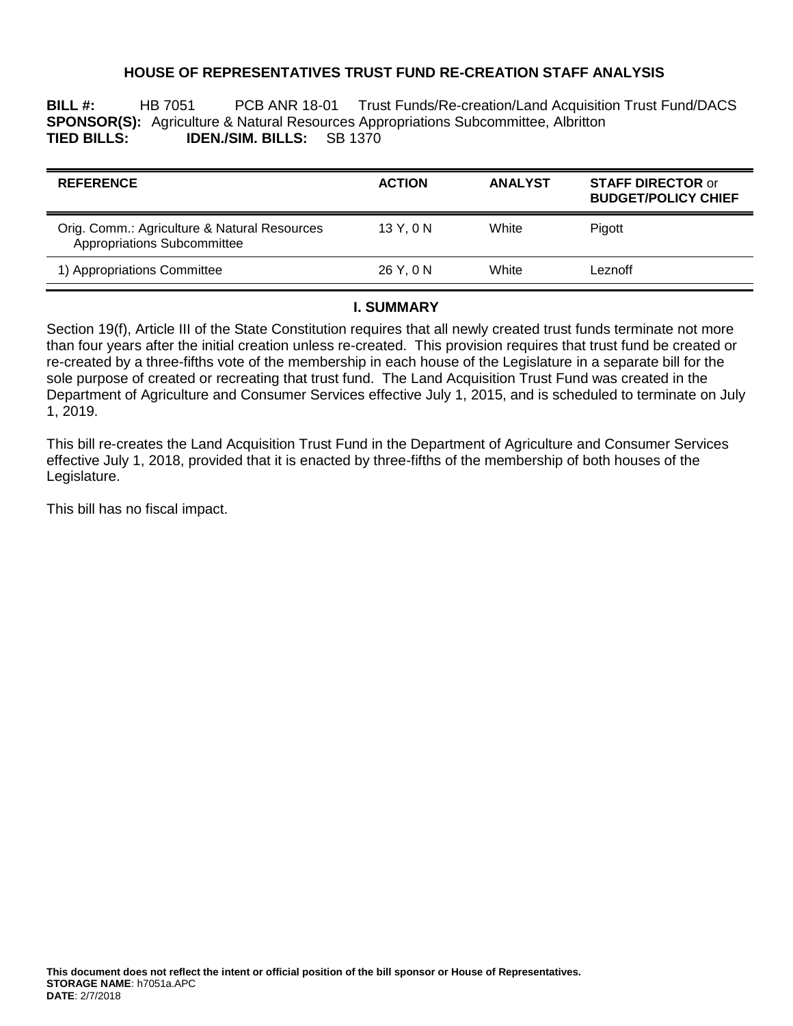# **HOUSE OF REPRESENTATIVES TRUST FUND RE-CREATION STAFF ANALYSIS**

**BILL #:** HB 7051 PCB ANR 18-01 Trust Funds/Re-creation/Land Acquisition Trust Fund/DACS **SPONSOR(S):** Agriculture & Natural Resources Appropriations Subcommittee, Albritton **TIED BILLS: IDEN./SIM. BILLS:** SB 1370

| <b>REFERENCE</b>                                                            | <b>ACTION</b> | <b>ANALYST</b> | <b>STAFF DIRECTOR or</b><br><b>BUDGET/POLICY CHIEF</b> |
|-----------------------------------------------------------------------------|---------------|----------------|--------------------------------------------------------|
| Orig. Comm.: Agriculture & Natural Resources<br>Appropriations Subcommittee | 13 Y, 0 N     | White          | Pigott                                                 |
| 1) Appropriations Committee                                                 | 26 Y.ON       | White          | Leznoff                                                |

### **I. SUMMARY**

Section 19(f), Article III of the State Constitution requires that all newly created trust funds terminate not more than four years after the initial creation unless re-created. This provision requires that trust fund be created or re-created by a three-fifths vote of the membership in each house of the Legislature in a separate bill for the sole purpose of created or recreating that trust fund. The Land Acquisition Trust Fund was created in the Department of Agriculture and Consumer Services effective July 1, 2015, and is scheduled to terminate on July 1, 2019.

This bill re-creates the Land Acquisition Trust Fund in the Department of Agriculture and Consumer Services effective July 1, 2018, provided that it is enacted by three-fifths of the membership of both houses of the Legislature.

This bill has no fiscal impact.